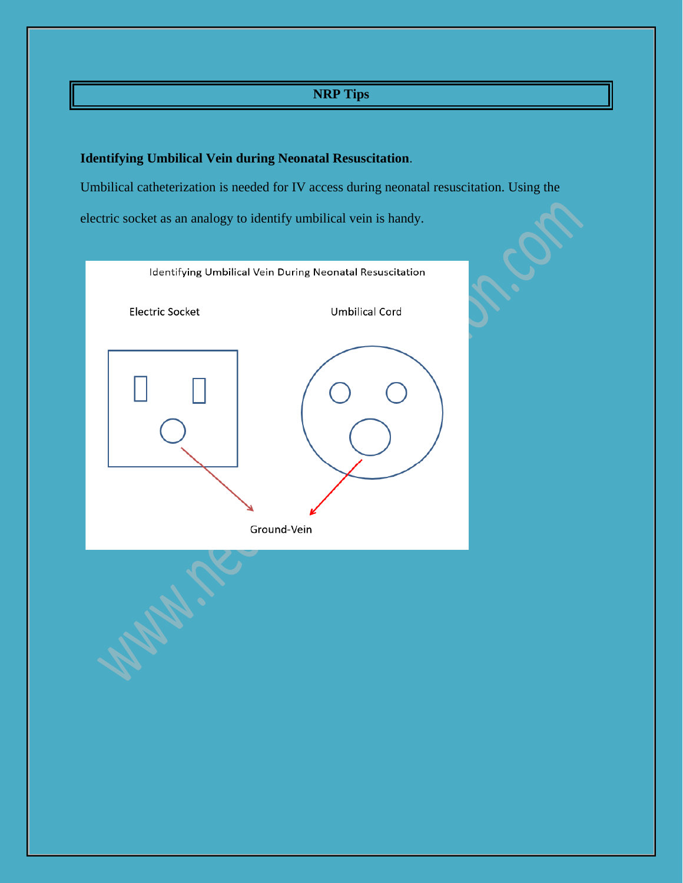## **NRP Tips**

## **Identifying Umbilical Vein during Neonatal Resuscitation**.

Umbilical catheterization is needed for IV access during neonatal resuscitation. Using the

electric socket as an analogy to identify umbilical vein is handy.

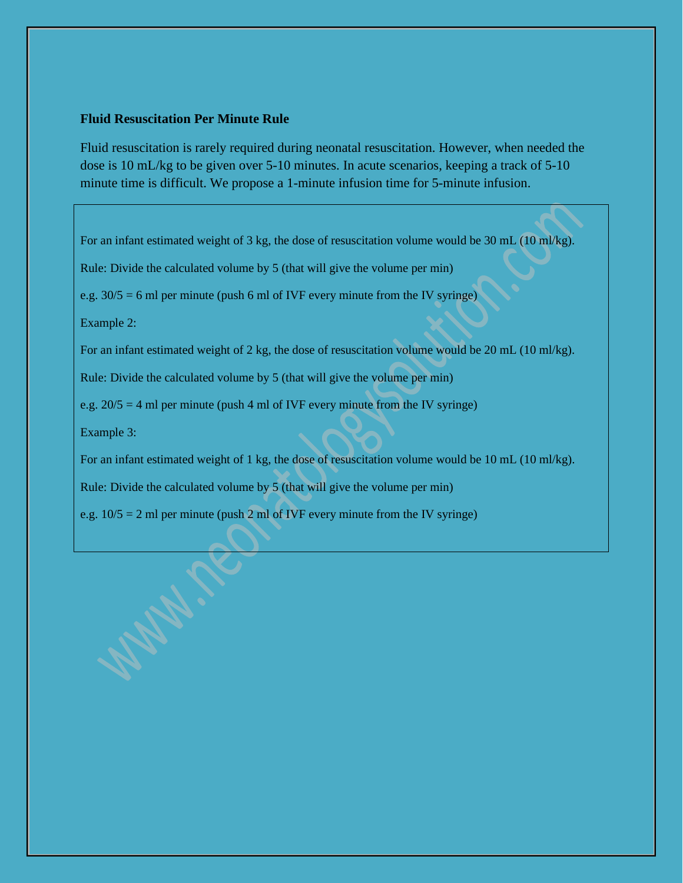## **Fluid Resuscitation Per Minute Rule**

Fluid resuscitation is rarely required during neonatal resuscitation. However, when needed the dose is 10 mL/kg to be given over 5-10 minutes. In acute scenarios, keeping a track of 5-10 minute time is difficult. We propose a 1-minute infusion time for 5-minute infusion.

For an infant estimated weight of 3 kg, the dose of resuscitation volume would be 30 mL (10 ml/kg).

Rule: Divide the calculated volume by 5 (that will give the volume per min)

e.g.  $30/5 = 6$  ml per minute (push 6 ml of IVF every minute from the IV syringe)

Example 2:

For an infant estimated weight of 2 kg, the dose of resuscitation volume would be 20 mL (10 ml/kg).

Rule: Divide the calculated volume by 5 (that will give the volume per min)

e.g.  $20/5 = 4$  ml per minute (push 4 ml of IVF every minute from the IV syringe)

Example 3:

For an infant estimated weight of 1 kg, the dose of resuscitation volume would be 10 mL (10 ml/kg).

Rule: Divide the calculated volume by 5 (that will give the volume per min)

e.g. 10/5 = 2 ml per minute (push 2 ml of IVF every minute from the IV syringe)